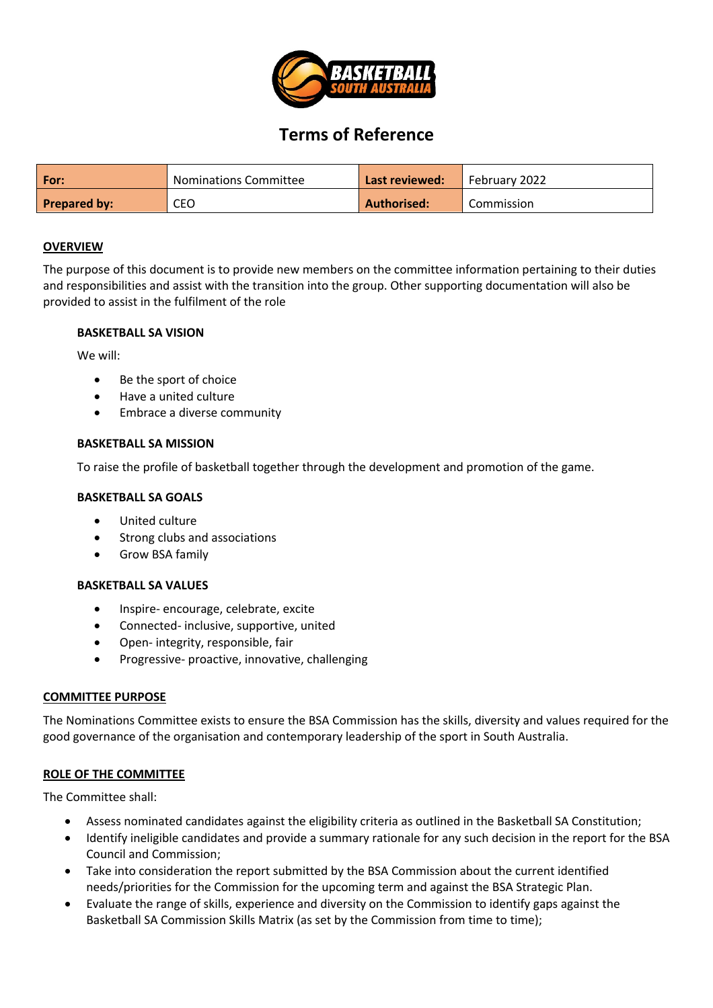

# **Terms of Reference**

| l For:       | <b>Nominations Committee</b> | Last reviewed: | February 2022 |
|--------------|------------------------------|----------------|---------------|
| Prepared by: | CEO                          | Authorised:    | Commission    |

#### **OVERVIEW**

The purpose of this document is to provide new members on the committee information pertaining to their duties and responsibilities and assist with the transition into the group. Other supporting documentation will also be provided to assist in the fulfilment of the role

#### **BASKETBALL SA VISION**

We will:

- Be the sport of choice
- Have a united culture
- Embrace a diverse community

#### **BASKETBALL SA MISSION**

To raise the profile of basketball together through the development and promotion of the game.

# **BASKETBALL SA GOALS**

- United culture
- Strong clubs and associations
- Grow BSA family

#### **BASKETBALL SA VALUES**

- Inspire- encourage, celebrate, excite
- Connected- inclusive, supportive, united
- Open- integrity, responsible, fair
- Progressive- proactive, innovative, challenging

#### **COMMITTEE PURPOSE**

The Nominations Committee exists to ensure the BSA Commission has the skills, diversity and values required for the good governance of the organisation and contemporary leadership of the sport in South Australia.

# **ROLE OF THE COMMITTEE**

The Committee shall:

- Assess nominated candidates against the eligibility criteria as outlined in the Basketball SA Constitution;
- Identify ineligible candidates and provide a summary rationale for any such decision in the report for the BSA Council and Commission;
- Take into consideration the report submitted by the BSA Commission about the current identified needs/priorities for the Commission for the upcoming term and against the BSA Strategic Plan.
- Evaluate the range of skills, experience and diversity on the Commission to identify gaps against the Basketball SA Commission Skills Matrix (as set by the Commission from time to time);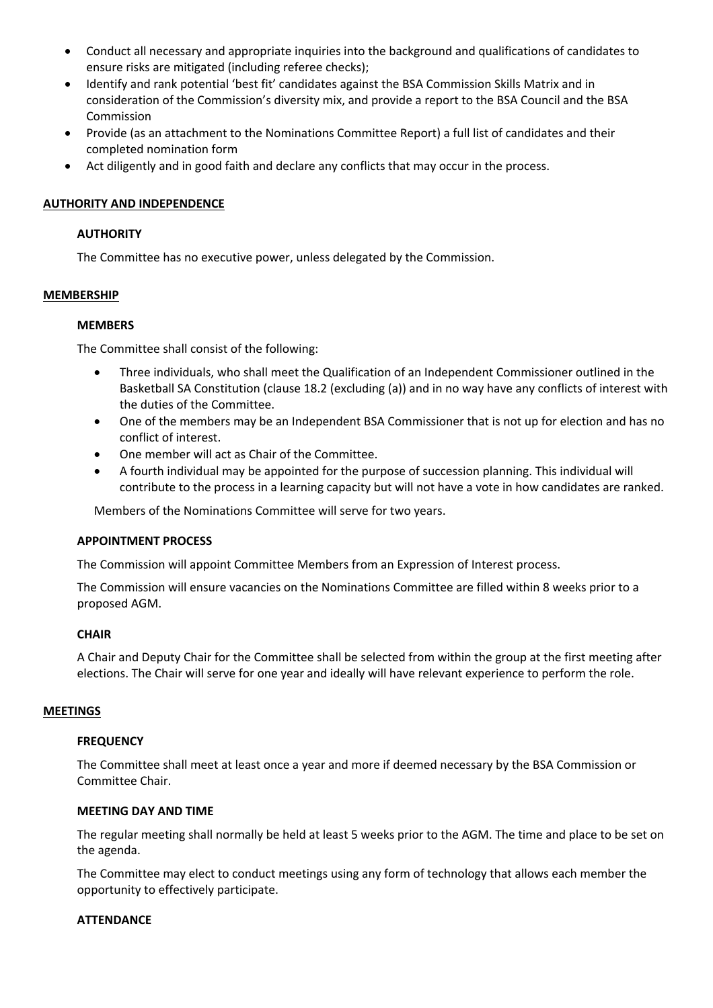- Conduct all necessary and appropriate inquiries into the background and qualifications of candidates to ensure risks are mitigated (including referee checks);
- Identify and rank potential 'best fit' candidates against the BSA Commission Skills Matrix and in consideration of the Commission's diversity mix, and provide a report to the BSA Council and the BSA Commission
- Provide (as an attachment to the Nominations Committee Report) a full list of candidates and their completed nomination form
- Act diligently and in good faith and declare any conflicts that may occur in the process.

# **AUTHORITY AND INDEPENDENCE**

## **AUTHORITY**

The Committee has no executive power, unless delegated by the Commission.

# **MEMBERSHIP**

#### **MEMBERS**

The Committee shall consist of the following:

- Three individuals, who shall meet the Qualification of an Independent Commissioner outlined in the Basketball SA Constitution (clause 18.2 (excluding (a)) and in no way have any conflicts of interest with the duties of the Committee.
- One of the members may be an Independent BSA Commissioner that is not up for election and has no conflict of interest.
- One member will act as Chair of the Committee.
- A fourth individual may be appointed for the purpose of succession planning. This individual will contribute to the process in a learning capacity but will not have a vote in how candidates are ranked.

Members of the Nominations Committee will serve for two years.

#### **APPOINTMENT PROCESS**

The Commission will appoint Committee Members from an Expression of Interest process.

The Commission will ensure vacancies on the Nominations Committee are filled within 8 weeks prior to a proposed AGM.

#### **CHAIR**

A Chair and Deputy Chair for the Committee shall be selected from within the group at the first meeting after elections. The Chair will serve for one year and ideally will have relevant experience to perform the role.

#### **MEETINGS**

#### **FREQUENCY**

The Committee shall meet at least once a year and more if deemed necessary by the BSA Commission or Committee Chair.

#### **MEETING DAY AND TIME**

The regular meeting shall normally be held at least 5 weeks prior to the AGM. The time and place to be set on the agenda.

The Committee may elect to conduct meetings using any form of technology that allows each member the opportunity to effectively participate.

#### **ATTENDANCE**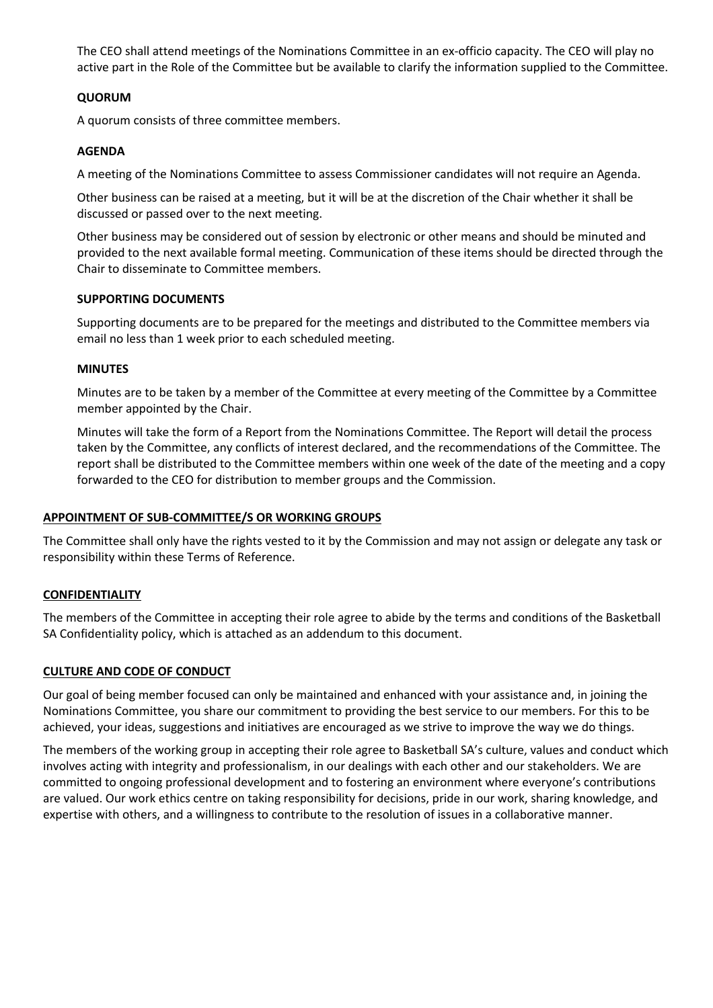The CEO shall attend meetings of the Nominations Committee in an ex-officio capacity. The CEO will play no active part in the Role of the Committee but be available to clarify the information supplied to the Committee.

## **QUORUM**

A quorum consists of three committee members.

# **AGENDA**

A meeting of the Nominations Committee to assess Commissioner candidates will not require an Agenda.

Other business can be raised at a meeting, but it will be at the discretion of the Chair whether it shall be discussed or passed over to the next meeting.

Other business may be considered out of session by electronic or other means and should be minuted and provided to the next available formal meeting. Communication of these items should be directed through the Chair to disseminate to Committee members.

#### **SUPPORTING DOCUMENTS**

Supporting documents are to be prepared for the meetings and distributed to the Committee members via email no less than 1 week prior to each scheduled meeting.

#### **MINUTES**

Minutes are to be taken by a member of the Committee at every meeting of the Committee by a Committee member appointed by the Chair.

Minutes will take the form of a Report from the Nominations Committee. The Report will detail the process taken by the Committee, any conflicts of interest declared, and the recommendations of the Committee. The report shall be distributed to the Committee members within one week of the date of the meeting and a copy forwarded to the CEO for distribution to member groups and the Commission.

#### **APPOINTMENT OF SUB-COMMITTEE/S OR WORKING GROUPS**

The Committee shall only have the rights vested to it by the Commission and may not assign or delegate any task or responsibility within these Terms of Reference.

# **CONFIDENTIALITY**

The members of the Committee in accepting their role agree to abide by the terms and conditions of the Basketball SA Confidentiality policy, which is attached as an addendum to this document.

#### **CULTURE AND CODE OF CONDUCT**

Our goal of being member focused can only be maintained and enhanced with your assistance and, in joining the Nominations Committee, you share our commitment to providing the best service to our members. For this to be achieved, your ideas, suggestions and initiatives are encouraged as we strive to improve the way we do things.

The members of the working group in accepting their role agree to Basketball SA's culture, values and conduct which involves acting with integrity and professionalism, in our dealings with each other and our stakeholders. We are committed to ongoing professional development and to fostering an environment where everyone's contributions are valued. Our work ethics centre on taking responsibility for decisions, pride in our work, sharing knowledge, and expertise with others, and a willingness to contribute to the resolution of issues in a collaborative manner.